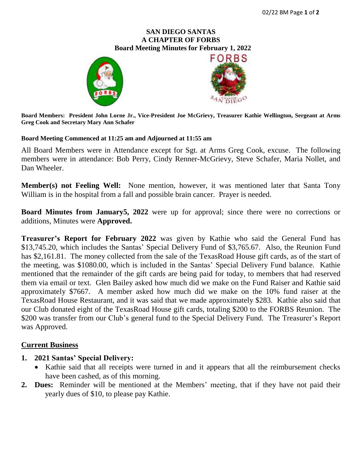### **SAN DIEGO SANTAS A CHAPTER OF FORBS**  **Board Meeting Minutes for February 1, 2022**





**Board Members: President John Lorne Jr., Vice-President Joe McGrievy, Treasurer Kathie Wellington, Sergeant at Arms Greg Cook and Secretary Mary Ann Schafer**

#### **Board Meeting Commenced at 11:25 am and Adjourned at 11:55 am**

All Board Members were in Attendance except for Sgt. at Arms Greg Cook, excuse. The following members were in attendance: Bob Perry, Cindy Renner-McGrievy, Steve Schafer, Maria Nollet, and Dan Wheeler.

**Member(s) not Feeling Well:** None mention, however, it was mentioned later that Santa Tony William is in the hospital from a fall and possible brain cancer. Prayer is needed.

**Board Minutes from January5, 2022** were up for approval; since there were no corrections or additions, Minutes were **Approved.**

**Treasurer's Report for February 2022** was given by Kathie who said the General Fund has \$13,745.20, which includes the Santas' Special Delivery Fund of \$3,765.67. Also, the Reunion Fund has \$2,161.81. The money collected from the sale of the TexasRoad House gift cards, as of the start of the meeting, was \$1080.00, which is included in the Santas' Special Delivery Fund balance. Kathie mentioned that the remainder of the gift cards are being paid for today, to members that had reserved them via email or text. Glen Bailey asked how much did we make on the Fund Raiser and Kathie said approximately \$7667. A member asked how much did we make on the 10% fund raiser at the TexasRoad House Restaurant, and it was said that we made approximately \$283. Kathie also said that our Club donated eight of the TexasRoad House gift cards, totaling \$200 to the FORBS Reunion. The \$200 was transfer from our Club's general fund to the Special Delivery Fund. The Treasurer's Report was Approved.

### **Current Business**

### **1. 2021 Santas' Special Delivery:**

- Kathie said that all receipts were turned in and it appears that all the reimbursement checks have been cashed, as of this morning.
- **2. Dues:** Reminder will be mentioned at the Members' meeting, that if they have not paid their yearly dues of \$10, to please pay Kathie.